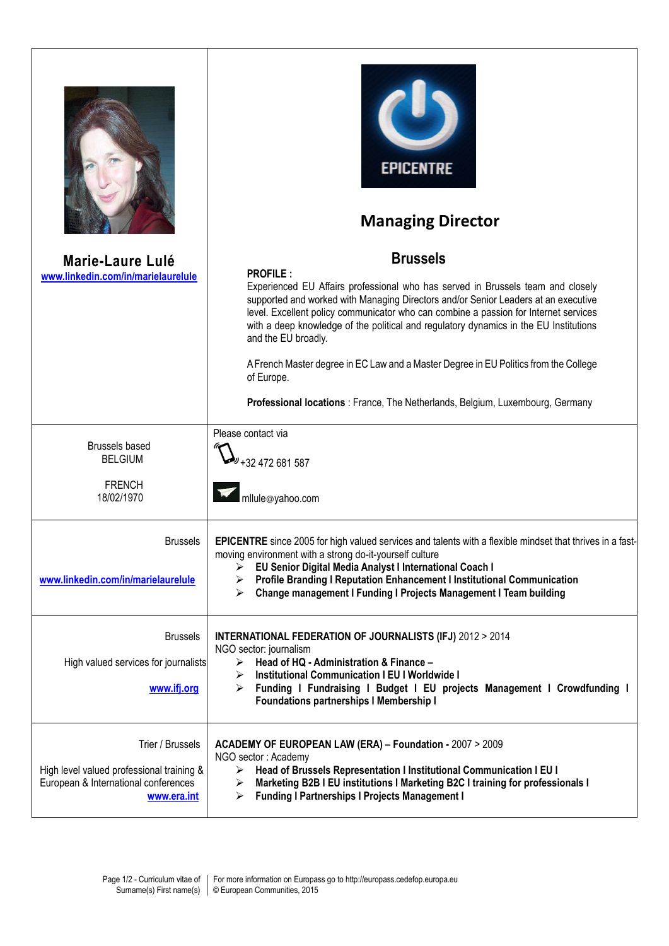|                                                                                                                      | <b>EPICENTRE</b><br><b>Managing Director</b>                                                                                                                                                                                                                                                                                                                                                   |
|----------------------------------------------------------------------------------------------------------------------|------------------------------------------------------------------------------------------------------------------------------------------------------------------------------------------------------------------------------------------------------------------------------------------------------------------------------------------------------------------------------------------------|
| <b>Marie-Laure Lulé</b>                                                                                              | <b>Brussels</b>                                                                                                                                                                                                                                                                                                                                                                                |
| www.linkedin.com/in/marielaurelule                                                                                   | <b>PROFILE:</b>                                                                                                                                                                                                                                                                                                                                                                                |
|                                                                                                                      | Experienced EU Affairs professional who has served in Brussels team and closely<br>supported and worked with Managing Directors and/or Senior Leaders at an executive<br>level. Excellent policy communicator who can combine a passion for Internet services<br>with a deep knowledge of the political and regulatory dynamics in the EU Institutions<br>and the EU broadly.                  |
|                                                                                                                      | A French Master degree in EC Law and a Master Degree in EU Politics from the College<br>of Europe.                                                                                                                                                                                                                                                                                             |
|                                                                                                                      | Professional locations : France, The Netherlands, Belgium, Luxembourg, Germany                                                                                                                                                                                                                                                                                                                 |
| <b>Brussels based</b>                                                                                                | Please contact via                                                                                                                                                                                                                                                                                                                                                                             |
| <b>BELGIUM</b>                                                                                                       | +32 472 681 587                                                                                                                                                                                                                                                                                                                                                                                |
| <b>FRENCH</b><br>18/02/1970                                                                                          | mllule@yahoo.com                                                                                                                                                                                                                                                                                                                                                                               |
| <b>Brussels</b><br>www.linkedin.com/in/marielaurelule                                                                | EPICENTRE since 2005 for high valued services and talents with a flexible mindset that thrives in a fast-<br>moving environment with a strong do-it-yourself culture<br>EU Senior Digital Media Analyst I International Coach I<br>➤<br>Profile Branding I Reputation Enhancement I Institutional Communication<br>➤<br>Change management I Funding I Projects Management I Team building<br>⋗ |
| <b>Brussels</b>                                                                                                      | <b>INTERNATIONAL FEDERATION OF JOURNALISTS (IFJ) 2012 &gt; 2014</b>                                                                                                                                                                                                                                                                                                                            |
|                                                                                                                      | NGO sector: journalism                                                                                                                                                                                                                                                                                                                                                                         |
| High valued services for journalists                                                                                 | Head of HQ - Administration & Finance -<br>≻<br><b>Institutional Communication I EU I Worldwide I</b>                                                                                                                                                                                                                                                                                          |
| www.ifj.org                                                                                                          | Funding I Fundraising I Budget I EU projects Management I Crowdfunding I<br>➤<br><b>Foundations partnerships I Membership I</b>                                                                                                                                                                                                                                                                |
| Trier / Brussels<br>High level valued professional training &<br>European & International conferences<br>www.era.int | ACADEMY OF EUROPEAN LAW (ERA) - Foundation - 2007 > 2009<br>NGO sector: Academy<br>Head of Brussels Representation I Institutional Communication I EU I<br>≻<br>Marketing B2B I EU institutions I Marketing B2C I training for professionals I<br>➤<br><b>Funding I Partnerships I Projects Management I</b><br>➤                                                                              |

 $\sqrt{2}$